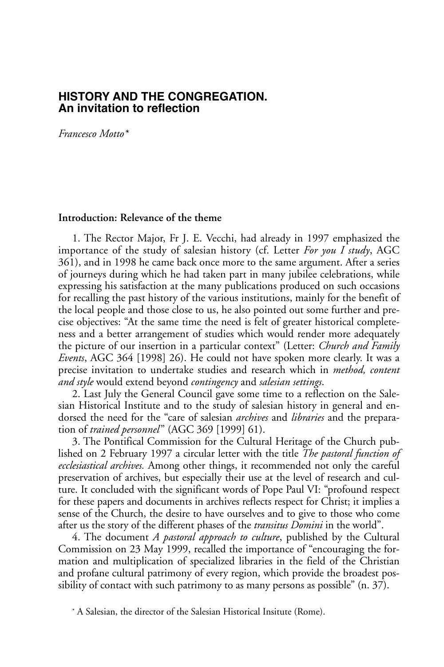## **HiSTorY and THe CongregaTion. an invitation to reflection**

*Francesco Motto\**

### **Introduction: Relevance of the theme**

1. The Rector Major, Fr J. E. Vecchi, had already in 1997 emphasized the importance of the study of salesian history (cf. Letter *For you I study*, AGC 361), and in 1998 he came back once more to the same argument. After a series of journeys during which he had taken part in many jubilee celebrations, while expressing his satisfaction at the many publications produced on such occasions for recalling the past history of the various institutions, mainly for the benefit of the local people and those close to us, he also pointed out some further and precise objectives: "At the same time the need is felt of greater historical completeness and a better arrangement of studies which would render more adequately the picture of our insertion in a particular context" (Letter: *Church and Family Events*, AGC 364 [1998] 26). He could not have spoken more clearly. It was a precise invitation to undertake studies and research which in *method, content and style* would extend beyond *contingency* and *salesian settings*.

2. Last July the General Council gave some time to a reflection on the Salesian Historical Institute and to the study of salesian history in general and endorsed the need for the "care of salesian *archives* and *libraries* and the preparation of *trained personnel*" (AGC 369 [1999] 61).

3. The Pontifical Commission for the Cultural Heritage of the Church published on 2 February 1997 a circular letter with the title *The pastoral function of ecclesiastical archives.* Among other things, it recommended not only the careful preservation of archives, but especially their use at the level of research and culture. It concluded with the significant words of Pope Paul VI: "profound respect for these papers and documents in archives reflects respect for Christ; it implies a sense of the Church, the desire to have ourselves and to give to those who come after us the story of the different phases of the *transitus Domini* in the world".

4. The document *A pastoral approach to culture*, published by the Cultural Commission on 23 May 1999, recalled the importance of "encouraging the formation and multiplication of specialized libraries in the field of the Christian and profane cultural patrimony of every region, which provide the broadest possibility of contact with such patrimony to as many persons as possible" (n. 37).

<sup>\*</sup> A Salesian, the director of the Salesian Historical Insitute (Rome).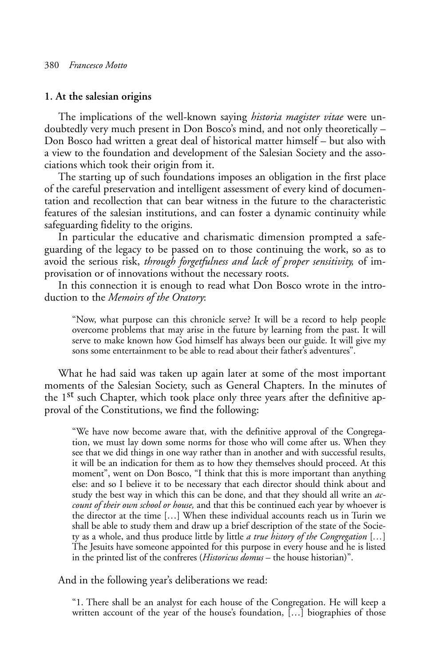#### **1. At the salesian origins**

The implications of the well-known saying *historia magister vitae* were undoubtedly very much present in Don Bosco's mind, and not only theoretically – Don Bosco had written a great deal of historical matter himself – but also with a view to the foundation and development of the Salesian Society and the associations which took their origin from it.

The starting up of such foundations imposes an obligation in the first place of the careful preservation and intelligent assessment of every kind of documentation and recollection that can bear witness in the future to the characteristic features of the salesian institutions, and can foster a dynamic continuity while safeguarding fidelity to the origins.

In particular the educative and charismatic dimension prompted a safeguarding of the legacy to be passed on to those continuing the work, so as to avoid the serious risk, *through forgetfulness and lack of proper sensitivity,* of improvisation or of innovations without the necessary roots.

In this connection it is enough to read what Don Bosco wrote in the introduction to the *Memoirs of the Oratory*:

"Now, what purpose can this chronicle serve? It will be a record to help people overcome problems that may arise in the future by learning from the past. It will serve to make known how God himself has always been our guide. It will give my sons some entertainment to be able to read about their father's adventures".

What he had said was taken up again later at some of the most important moments of the Salesian Society, such as General Chapters. In the minutes of the 1st such Chapter, which took place only three years after the definitive approval of the Constitutions, we find the following:

"We have now become aware that, with the definitive approval of the Congregation, we must lay down some norms for those who will come after us. When they see that we did things in one way rather than in another and with successful results, it will be an indication for them as to how they themselves should proceed. At this moment", went on Don Bosco, "I think that this is more important than anything else: and so I believe it to be necessary that each director should think about and study the best way in which this can be done, and that they should all write an *account of their own school or house,* and that this be continued each year by whoever is the director at the time […] When these individual accounts reach us in Turin we shall be able to study them and draw up a brief description of the state of the Society as a whole, and thus produce little by little *a true history of the Congregation* [*…*] The Jesuits have someone appointed for this purpose in every house and he is listed in the printed list of the confreres (*Historicus domus* – the house historian)".

And in the following year's deliberations we read:

"1. There shall be an analyst for each house of the Congregation. He will keep a written account of the year of the house's foundation, [...] biographies of those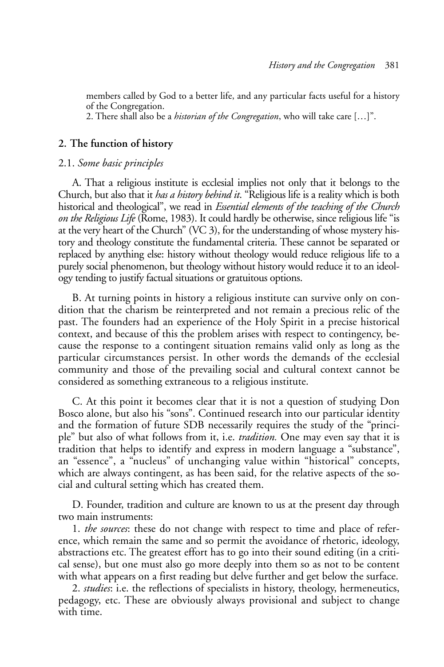members called by God to a better life, and any particular facts useful for a history of the Congregation.

2. There shall also be a *historian of the Congregation*, who will take care […]".

### **2. The function of history**

#### 2.1. *Some basic principles*

A. That a religious institute is ecclesial implies not only that it belongs to the Church, but also that it *has a history behind it*. "Religious life is a reality which is both historical and theological", we read in *Essential elements of the teaching of the Church on the Religious Life* (Rome, 1983). It could hardly be otherwise, since religious life "is at the very heart of the Church" (VC 3), for the understanding of whose mystery history and theology constitute the fundamental criteria. These cannot be separated or replaced by anything else: history without theology would reduce religious life to a purely social phenomenon, but theology without history would reduce it to an ideology tending to justify factual situations or gratuitous options.

B. At turning points in history a religious institute can survive only on condition that the charism be reinterpreted and not remain a precious relic of the past. The founders had an experience of the Holy Spirit in a precise historical context, and because of this the problem arises with respect to contingency, because the response to a contingent situation remains valid only as long as the particular circumstances persist. In other words the demands of the ecclesial community and those of the prevailing social and cultural context cannot be considered as something extraneous to a religious institute.

C. At this point it becomes clear that it is not a question of studying Don Bosco alone, but also his "sons". Continued research into our particular identity and the formation of future SDB necessarily requires the study of the "principle" but also of what follows from it, i.e. *tradition.* One may even say that it is tradition that helps to identify and express in modern language a "substance", an "essence", a "nucleus" of unchanging value within "historical" concepts, which are always contingent, as has been said, for the relative aspects of the social and cultural setting which has created them.

D. Founder, tradition and culture are known to us at the present day through two main instruments:

1. *the sources*: these do not change with respect to time and place of reference, which remain the same and so permit the avoidance of rhetoric, ideology, abstractions etc. The greatest effort has to go into their sound editing (in a critical sense), but one must also go more deeply into them so as not to be content with what appears on a first reading but delve further and get below the surface.

2. *studies*: i.e. the reflections of specialists in history, theology, hermeneutics, pedagogy, etc. These are obviously always provisional and subject to change with time.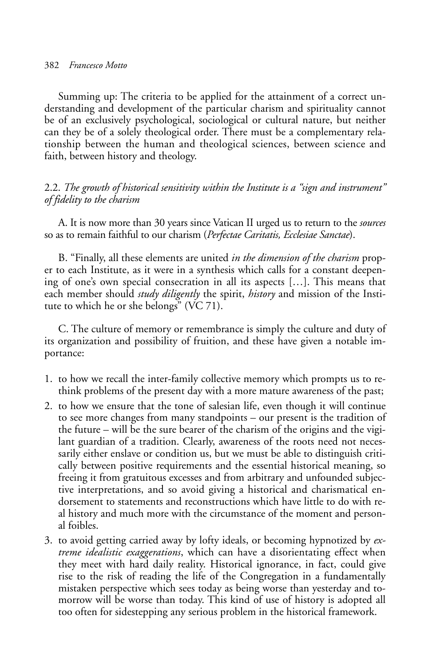Summing up: The criteria to be applied for the attainment of a correct understanding and development of the particular charism and spirituality cannot be of an exclusively psychological, sociological or cultural nature, but neither can they be of a solely theological order. There must be a complementary relationship between the human and theological sciences, between science and faith, between history and theology.

## 2.2. *The growth of historical sensitivity within the Institute is a "sign and instrument" of fidelity to the charism*

A. It is now more than 30 years since Vatican II urged us to return to the *sources* so as to remain faithful to our charism (*Perfectae Caritatis, Ecclesiae Sanctae*).

B. "Finally, all these elements are united *in the dimension of the charism* proper to each Institute, as it were in a synthesis which calls for a constant deepening of one's own special consecration in all its aspects […]. This means that each member should *study diligently* the spirit, *history* and mission of the Institute to which he or she belongs" (VC 71).

C. The culture of memory or remembrance is simply the culture and duty of its organization and possibility of fruition, and these have given a notable importance:

- 1. to how we recall the inter-family collective memory which prompts us to rethink problems of the present day with a more mature awareness of the past;
- 2. to how we ensure that the tone of salesian life, even though it will continue to see more changes from many standpoints – our present is the tradition of the future – will be the sure bearer of the charism of the origins and the vigilant guardian of a tradition. Clearly, awareness of the roots need not necessarily either enslave or condition us, but we must be able to distinguish critically between positive requirements and the essential historical meaning, so freeing it from gratuitous excesses and from arbitrary and unfounded subjective interpretations, and so avoid giving a historical and charismatical endorsement to statements and reconstructions which have little to do with real history and much more with the circumstance of the moment and personal foibles.
- 3. to avoid getting carried away by lofty ideals, or becoming hypnotized by *extreme idealistic exaggerations*, which can have a disorientating effect when they meet with hard daily reality. Historical ignorance, in fact, could give rise to the risk of reading the life of the Congregation in a fundamentally mistaken perspective which sees today as being worse than yesterday and tomorrow will be worse than today. This kind of use of history is adopted all too often for sidestepping any serious problem in the historical framework.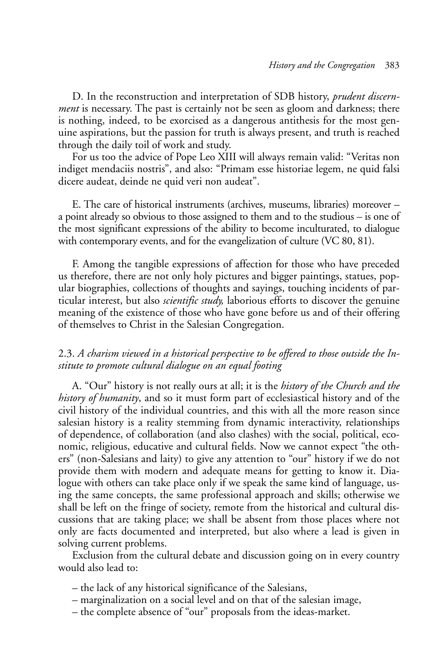D. In the reconstruction and interpretation of SDB history, *prudent discernment* is necessary. The past is certainly not be seen as gloom and darkness; there is nothing, indeed, to be exorcised as a dangerous antithesis for the most genuine aspirations, but the passion for truth is always present, and truth is reached through the daily toil of work and study.

For us too the advice of Pope Leo XIII will always remain valid: "Veritas non indiget mendaciis nostris", and also: "Primam esse historiae legem, ne quid falsi dicere audeat, deinde ne quid veri non audeat".

E. The care of historical instruments (archives, museums, libraries) moreover – a point already so obvious to those assigned to them and to the studious – is one of the most significant expressions of the ability to become inculturated, to dialogue with contemporary events, and for the evangelization of culture (VC 80, 81).

F. Among the tangible expressions of affection for those who have preceded us therefore, there are not only holy pictures and bigger paintings, statues, popular biographies, collections of thoughts and sayings, touching incidents of particular interest, but also *scientific study,* laborious efforts to discover the genuine meaning of the existence of those who have gone before us and of their offering of themselves to Christ in the Salesian Congregation.

# 2.3. *A charism viewed in a historical perspective to be offered to those outside the Institute to promote cultural dialogue on an equal footing*

A. "Our" history is not really ours at all; it is the *history of the Church and the history of humanity*, and so it must form part of ecclesiastical history and of the civil history of the individual countries, and this with all the more reason since salesian history is a reality stemming from dynamic interactivity, relationships of dependence, of collaboration (and also clashes) with the social, political, economic, religious, educative and cultural fields. Now we cannot expect "the others" (non-Salesians and laity) to give any attention to "our" history if we do not provide them with modern and adequate means for getting to know it. Dialogue with others can take place only if we speak the same kind of language, using the same concepts, the same professional approach and skills; otherwise we shall be left on the fringe of society, remote from the historical and cultural discussions that are taking place; we shall be absent from those places where not only are facts documented and interpreted, but also where a lead is given in solving current problems.

Exclusion from the cultural debate and discussion going on in every country would also lead to:

- the lack of any historical significance of the Salesians,
- marginalization on a social level and on that of the salesian image,
- the complete absence of "our" proposals from the ideas-market.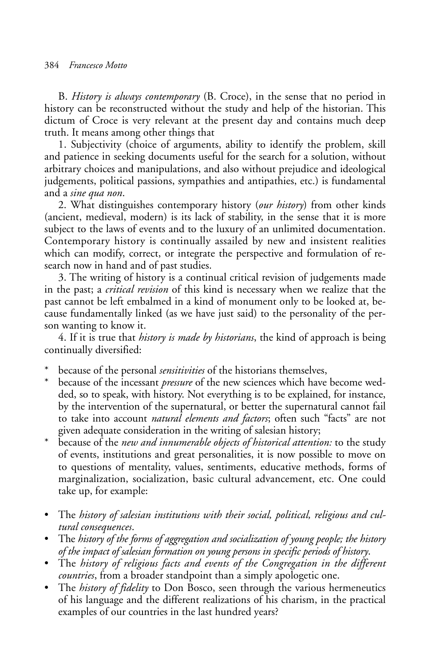#### 384 *Francesco Motto*

B. *History is always contemporary* (B. Croce), in the sense that no period in history can be reconstructed without the study and help of the historian. This dictum of Croce is very relevant at the present day and contains much deep truth. It means among other things that

1. Subjectivity (choice of arguments, ability to identify the problem, skill and patience in seeking documents useful for the search for a solution, without arbitrary choices and manipulations, and also without prejudice and ideological judgements, political passions, sympathies and antipathies, etc.) is fundamental and a *sine qua non*.

2. What distinguishes contemporary history (*our history*) from other kinds (ancient, medieval, modern) is its lack of stability, in the sense that it is more subject to the laws of events and to the luxury of an unlimited documentation. Contemporary history is continually assailed by new and insistent realities which can modify, correct, or integrate the perspective and formulation of research now in hand and of past studies.

3. The writing of history is a continual critical revision of judgements made in the past; a *critical revision* of this kind is necessary when we realize that the past cannot be left embalmed in a kind of monument only to be looked at, because fundamentally linked (as we have just said) to the personality of the person wanting to know it.

4. If it is true that *history is made by historians*, the kind of approach is being continually diversified:

- because of the personal *sensitivities* of the historians themselves,
- because of the incessant *pressure* of the new sciences which have become wedded, so to speak, with history. Not everything is to be explained, for instance, by the intervention of the supernatural, or better the supernatural cannot fail to take into account *natural elements and factors*; often such "facts" are not given adequate consideration in the writing of salesian history;
- \* because of the *new and innumerable objects of historical attention:* to the study of events, institutions and great personalities, it is now possible to move on to questions of mentality, values, sentiments, educative methods, forms of marginalization, socialization, basic cultural advancement, etc. One could take up, for example:
- The *history of salesian institutions with their social, political, religious and cultural consequences*.
- The *history of the forms of aggregation and socialization of young people; the history of the impact of salesian formation on young persons in specific periods of history*.
- The *history of religious facts and events of the Congregation in the different countries*, from a broader standpoint than a simply apologetic one.
- The *history of fidelity* to Don Bosco, seen through the various hermeneutics of his language and the different realizations of his charism, in the practical examples of our countries in the last hundred years?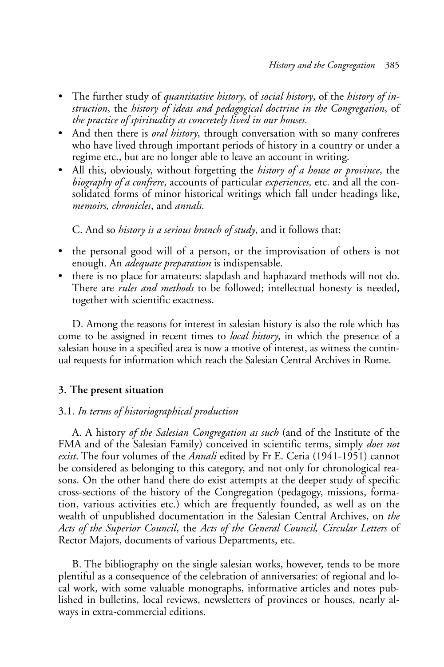- The further study of *quantitative history*, of *social history*, of the *history of instruction*, the *history of ideas and pedagogical doctrine in the Congregation*, of *the practice of spirituality as concretely lived in our houses.*
- And then there is *oral history*, through conversation with so many confreres who have lived through important periods of history in a country or under a regime etc., but are no longer able to leave an account in writing.
- All this, obviously, without forgetting the *history of a house or province*, the *biography of a confrere*, accounts of particular *experiences,* etc. and all the consolidated forms of minor historical writings which fall under headings like, *memoirs, chronicles*, and *annals*.

C. And so *history is a serious branch of study*, and it follows that:

- the personal good will of a person, or the improvisation of others is not enough. An *adequate preparation* is indispensable.
- there is no place for amateurs: slapdash and haphazard methods will not do. There are *rules and methods* to be followed; intellectual honesty is needed, together with scientific exactness.

D. Among the reasons for interest in salesian history is also the role which has come to be assigned in recent times to *local history*, in which the presence of a salesian house in a specified area is now a motive of interest, as witness the continual requests for information which reach the Salesian Central Archives in Rome.

# **3. The present situation**

# 3.1. *In terms of historiographical production*

A. A history *of the Salesian Congregation as such* (and of the Institute of the FMA and of the Salesian Family) conceived in scientific terms, simply *does not exist*. The four volumes of the *Annali* edited by Fr E. Ceria (1941-1951) cannot be considered as belonging to this category, and not only for chronological reasons. On the other hand there do exist attempts at the deeper study of specific cross-sections of the history of the Congregation (pedagogy, missions, formation, various activities etc.) which are frequently founded, as well as on the wealth of unpublished documentation in the Salesian Central Archives, on *the Acts of the Superior Council*, the *Acts of the General Council, Circular Letters* of Rector Majors, documents of various Departments, etc.

B. The bibliography on the single salesian works, however, tends to be more plentiful as a consequence of the celebration of anniversaries: of regional and local work, with some valuable monographs, informative articles and notes published in bulletins, local reviews, newsletters of provinces or houses, nearly always in extra-commercial editions.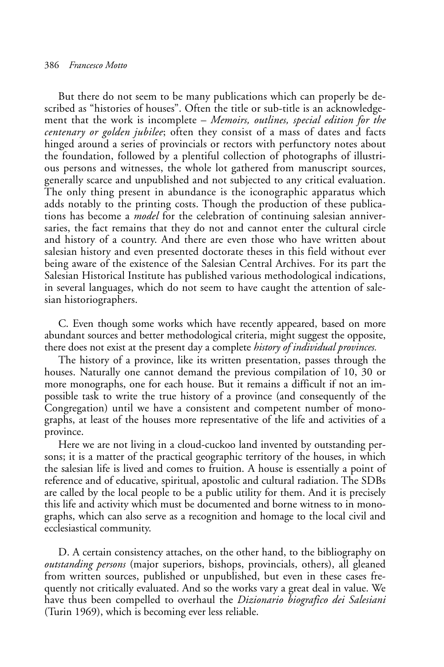But there do not seem to be many publications which can properly be described as "histories of houses". Often the title or sub-title is an acknowledgement that the work is incomplete – *Memoirs, outlines, special edition for the centenary or golden jubilee*; often they consist of a mass of dates and facts hinged around a series of provincials or rectors with perfunctory notes about the foundation, followed by a plentiful collection of photographs of illustrious persons and witnesses, the whole lot gathered from manuscript sources, generally scarce and unpublished and not subjected to any critical evaluation. The only thing present in abundance is the iconographic apparatus which adds notably to the printing costs. Though the production of these publications has become a *model* for the celebration of continuing salesian anniversaries, the fact remains that they do not and cannot enter the cultural circle and history of a country. And there are even those who have written about salesian history and even presented doctorate theses in this field without ever being aware of the existence of the Salesian Central Archives. For its part the Salesian Historical Institute has published various methodological indications, in several languages, which do not seem to have caught the attention of salesian historiographers.

C. Even though some works which have recently appeared, based on more abundant sources and better methodological criteria, might suggest the opposite, there does not exist at the present day a complete *history of individual provinces.*

The history of a province, like its written presentation, passes through the houses. Naturally one cannot demand the previous compilation of 10, 30 or more monographs, one for each house. But it remains a difficult if not an impossible task to write the true history of a province (and consequently of the Congregation) until we have a consistent and competent number of monographs, at least of the houses more representative of the life and activities of a province.

Here we are not living in a cloud-cuckoo land invented by outstanding persons; it is a matter of the practical geographic territory of the houses, in which the salesian life is lived and comes to fruition. A house is essentially a point of reference and of educative, spiritual, apostolic and cultural radiation. The SDBs are called by the local people to be a public utility for them. And it is precisely this life and activity which must be documented and borne witness to in monographs, which can also serve as a recognition and homage to the local civil and ecclesiastical community.

D. A certain consistency attaches, on the other hand, to the bibliography on *outstanding persons* (major superiors, bishops, provincials, others), all gleaned from written sources, published or unpublished, but even in these cases frequently not critically evaluated. And so the works vary a great deal in value. We have thus been compelled to overhaul the *Dizionario biografico dei Salesiani* (Turin 1969), which is becoming ever less reliable.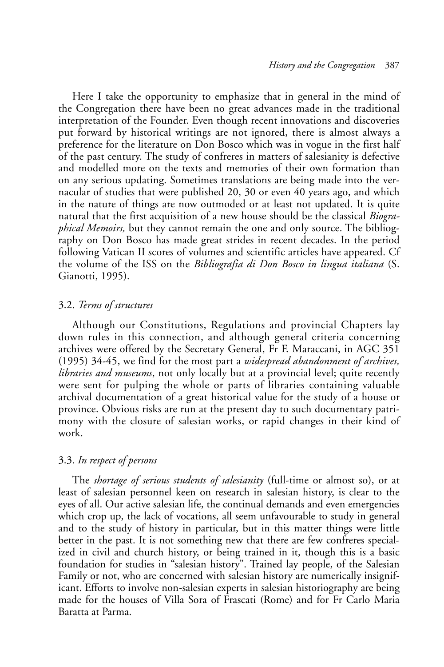Here I take the opportunity to emphasize that in general in the mind of the Congregation there have been no great advances made in the traditional interpretation of the Founder. Even though recent innovations and discoveries put forward by historical writings are not ignored, there is almost always a preference for the literature on Don Bosco which was in vogue in the first half of the past century. The study of confreres in matters of salesianity is defective and modelled more on the texts and memories of their own formation than on any serious updating. Sometimes translations are being made into the vernacular of studies that were published 20, 30 or even 40 years ago, and which in the nature of things are now outmoded or at least not updated. It is quite natural that the first acquisition of a new house should be the classical *Biographical Memoirs,* but they cannot remain the one and only source. The bibliography on Don Bosco has made great strides in recent decades. In the period following Vatican II scores of volumes and scientific articles have appeared. Cf the volume of the ISS on the *Bibliografia di Don Bosco in lingua italiana* (S. Gianotti, 1995).

### 3.2. *Terms of structures*

Although our Constitutions, Regulations and provincial Chapters lay down rules in this connection, and although general criteria concerning archives were offered by the Secretary General, Fr F. Maraccani, in AGC 351 (1995) 34-45, we find for the most part a *widespread abandonment of archives, libraries and museums*, not only locally but at a provincial level; quite recently were sent for pulping the whole or parts of libraries containing valuable archival documentation of a great historical value for the study of a house or province. Obvious risks are run at the present day to such documentary patrimony with the closure of salesian works, or rapid changes in their kind of work.

## 3.3. *In respect of persons*

The *shortage of serious students of salesianity* (full-time or almost so), or at least of salesian personnel keen on research in salesian history, is clear to the eyes of all. Our active salesian life, the continual demands and even emergencies which crop up, the lack of vocations, all seem unfavourable to study in general and to the study of history in particular, but in this matter things were little better in the past. It is not something new that there are few confreres specialized in civil and church history, or being trained in it, though this is a basic foundation for studies in "salesian history". Trained lay people, of the Salesian Family or not, who are concerned with salesian history are numerically insignificant. Efforts to involve non-salesian experts in salesian historiography are being made for the houses of Villa Sora of Frascati (Rome) and for Fr Carlo Maria Baratta at Parma.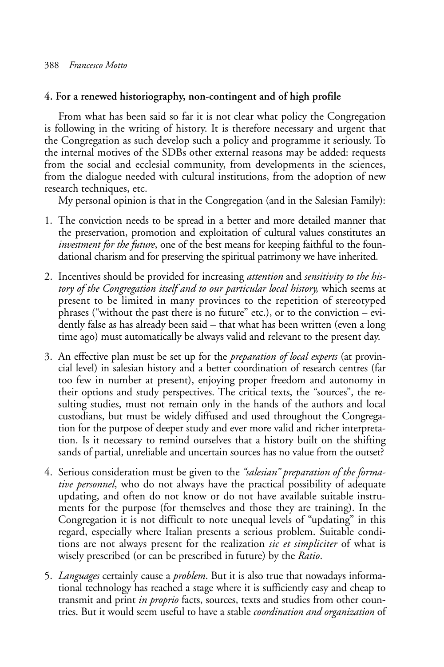# **4. For a renewed historiography, non-contingent and of high profile**

From what has been said so far it is not clear what policy the Congregation is following in the writing of history. It is therefore necessary and urgent that the Congregation as such develop such a policy and programme it seriously. To the internal motives of the SDBs other external reasons may be added: requests from the social and ecclesial community, from developments in the sciences, from the dialogue needed with cultural institutions, from the adoption of new research techniques, etc.

My personal opinion is that in the Congregation (and in the Salesian Family):

- 1. The conviction needs to be spread in a better and more detailed manner that the preservation, promotion and exploitation of cultural values constitutes an *investment for the future*, one of the best means for keeping faithful to the foundational charism and for preserving the spiritual patrimony we have inherited.
- 2. Incentives should be provided for increasing *attention* and *sensitivity to the history of the Congregation itself and to our particular local history,* which seems at present to be limited in many provinces to the repetition of stereotyped phrases ("without the past there is no future" etc.), or to the conviction – evidently false as has already been said – that what has been written (even a long time ago) must automatically be always valid and relevant to the present day.
- 3. An effective plan must be set up for the *preparation of local experts* (at provincial level) in salesian history and a better coordination of research centres (far too few in number at present), enjoying proper freedom and autonomy in their options and study perspectives. The critical texts, the "sources", the resulting studies, must not remain only in the hands of the authors and local custodians, but must be widely diffused and used throughout the Congregation for the purpose of deeper study and ever more valid and richer interpretation. Is it necessary to remind ourselves that a history built on the shifting sands of partial, unreliable and uncertain sources has no value from the outset?
- 4. Serious consideration must be given to the *"salesian" preparation of the formative personnel*, who do not always have the practical possibility of adequate updating, and often do not know or do not have available suitable instruments for the purpose (for themselves and those they are training). In the Congregation it is not difficult to note unequal levels of "updating" in this regard, especially where Italian presents a serious problem. Suitable conditions are not always present for the realization *sic et simpliciter* of what is wisely prescribed (or can be prescribed in future) by the *Ratio*.
- 5. *Languages* certainly cause a *problem*. But it is also true that nowadays informational technology has reached a stage where it is sufficiently easy and cheap to transmit and print *in proprio* facts, sources, texts and studies from other countries. But it would seem useful to have a stable *coordination and organization* of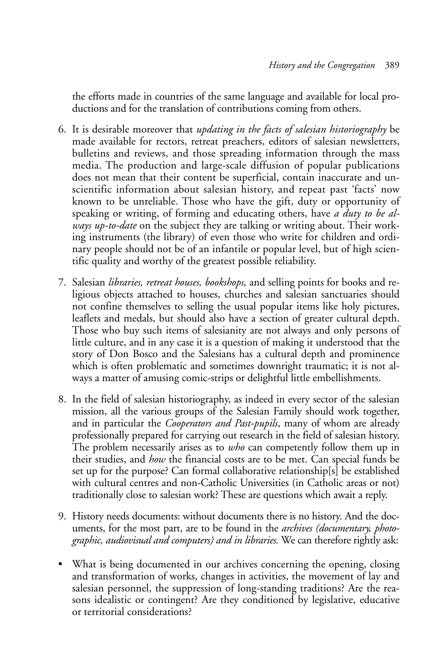the efforts made in countries of the same language and available for local productions and for the translation of contributions coming from others.

- 6. It is desirable moreover that *updating in the facts of salesian historiography* be made available for rectors, retreat preachers, editors of salesian newsletters, bulletins and reviews, and those spreading information through the mass media. The production and large-scale diffusion of popular publications does not mean that their content be superficial, contain inaccurate and unscientific information about salesian history, and repeat past 'facts' now known to be unreliable. Those who have the gift, duty or opportunity of speaking or writing, of forming and educating others, have *a duty to be always up-to-date* on the subject they are talking or writing about. Their working instruments (the library) of even those who write for children and ordinary people should not be of an infantile or popular level, but of high scientific quality and worthy of the greatest possible reliability.
- 7. Salesian *libraries, retreat houses, bookshops,* and selling points for books and religious objects attached to houses, churches and salesian sanctuaries should not confine themselves to selling the usual popular items like holy pictures, leaflets and medals, but should also have a section of greater cultural depth. Those who buy such items of salesianity are not always and only persons of little culture, and in any case it is a question of making it understood that the story of Don Bosco and the Salesians has a cultural depth and prominence which is often problematic and sometimes downright traumatic; it is not always a matter of amusing comic-strips or delightful little embellishments.
- 8. In the field of salesian historiography, as indeed in every sector of the salesian mission, all the various groups of the Salesian Family should work together, and in particular the *Cooperators and Past-pupils*, many of whom are already professionally prepared for carrying out research in the field of salesian history. The problem necessarily arises as to *who* can competently follow them up in their studies, and *how* the financial costs are to be met. Can special funds be set up for the purpose? Can formal collaborative relationship[s] be established with cultural centres and non-Catholic Universities (in Catholic areas or not) traditionally close to salesian work? These are questions which await a reply.
- 9. History needs documents: without documents there is no history. And the documents, for the most part, are to be found in the *archives (documentary, photographic, audiovisual and computers) and in libraries.* We can therefore rightly ask:
- What is being documented in our archives concerning the opening, closing and transformation of works, changes in activities, the movement of lay and salesian personnel, the suppression of long-standing traditions? Are the reasons idealistic or contingent? Are they conditioned by legislative, educative or territorial considerations?